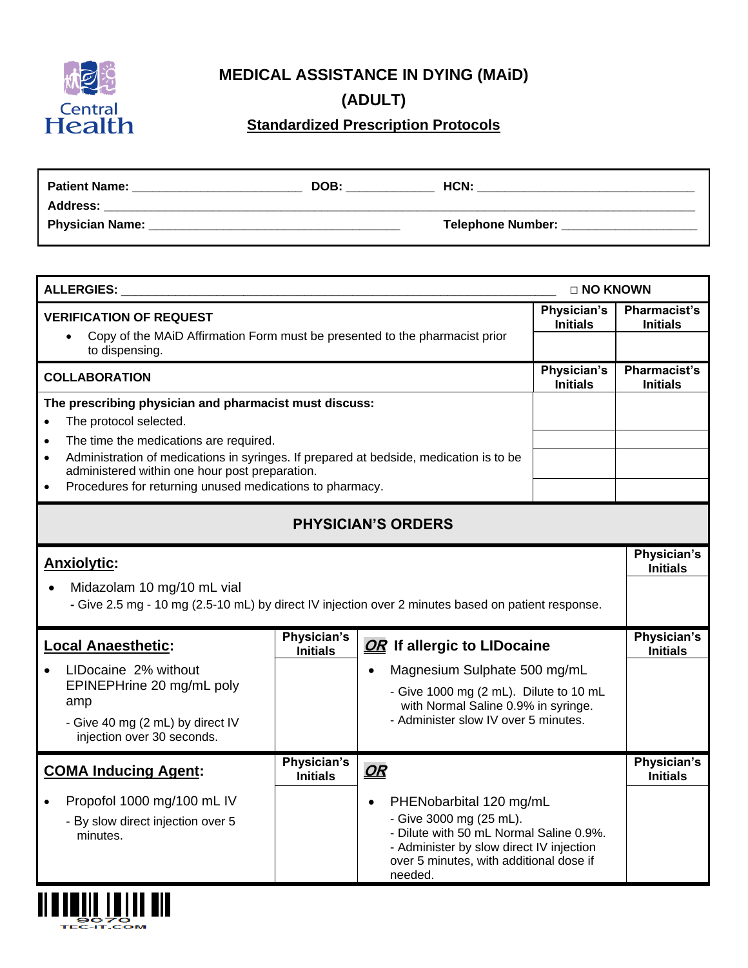

**MEDICAL ASSISTANCE IN DYING (MAiD)**

**(ADULT)**

**Standardized Prescription Protocols**

| <b>Patient Name:</b>   | DOB: | HCN:              |
|------------------------|------|-------------------|
| <b>Address:</b>        |      |                   |
| <b>Physician Name:</b> |      | Telephone Number: |

| <b>ALLERGIES:</b>                                                                                                                                                                                            |                                |                                                                                                                                                                                                              | □ NO KNOWN                     |                                        |
|--------------------------------------------------------------------------------------------------------------------------------------------------------------------------------------------------------------|--------------------------------|--------------------------------------------------------------------------------------------------------------------------------------------------------------------------------------------------------------|--------------------------------|----------------------------------------|
| Physician's<br><b>VERIFICATION OF REQUEST</b><br>Copy of the MAID Affirmation Form must be presented to the pharmacist prior                                                                                 |                                |                                                                                                                                                                                                              |                                | <b>Pharmacist's</b><br><b>Initials</b> |
| $\bullet$<br>to dispensing.                                                                                                                                                                                  |                                |                                                                                                                                                                                                              |                                |                                        |
| <b>COLLABORATION</b>                                                                                                                                                                                         |                                |                                                                                                                                                                                                              | Physician's<br><b>Initials</b> | <b>Pharmacist's</b><br><b>Initials</b> |
| The prescribing physician and pharmacist must discuss:<br>The protocol selected.<br>$\bullet$                                                                                                                |                                |                                                                                                                                                                                                              |                                |                                        |
| The time the medications are required.<br>$\bullet$<br>Administration of medications in syringes. If prepared at bedside, medication is to be<br>$\bullet$<br>administered within one hour post preparation. |                                |                                                                                                                                                                                                              |                                |                                        |
| Procedures for returning unused medications to pharmacy.<br>$\bullet$                                                                                                                                        |                                |                                                                                                                                                                                                              |                                |                                        |
|                                                                                                                                                                                                              |                                | <b>PHYSICIAN'S ORDERS</b>                                                                                                                                                                                    |                                |                                        |
| <b>Anxiolytic:</b>                                                                                                                                                                                           |                                |                                                                                                                                                                                                              |                                | Physician's<br><b>Initials</b>         |
| Midazolam 10 mg/10 mL vial<br>$\bullet$<br>- Give 2.5 mg - 10 mg (2.5-10 mL) by direct IV injection over 2 minutes based on patient response.                                                                |                                |                                                                                                                                                                                                              |                                |                                        |
| <b>Local Anaesthetic:</b>                                                                                                                                                                                    | Physician's<br><b>Initials</b> | OR If allergic to LIDocaine                                                                                                                                                                                  |                                | Physician's<br><b>Initials</b>         |
| LIDocaine 2% without                                                                                                                                                                                         |                                | Magnesium Sulphate 500 mg/mL<br>$\bullet$                                                                                                                                                                    |                                |                                        |
| EPINEPHrine 20 mg/mL poly<br>- Give 1000 mg (2 mL). Dilute to 10 mL<br>amp<br>with Normal Saline 0.9% in syringe.                                                                                            |                                |                                                                                                                                                                                                              |                                |                                        |
| - Give 40 mg (2 mL) by direct IV<br>injection over 30 seconds.                                                                                                                                               |                                | - Administer slow IV over 5 minutes.                                                                                                                                                                         |                                |                                        |
| <b>COMA Inducing Agent:</b>                                                                                                                                                                                  | Physician's<br><b>Initials</b> | OR                                                                                                                                                                                                           |                                | Physician's<br><b>Initials</b>         |
| Propofol 1000 mg/100 mL IV<br>- By slow direct injection over 5<br>minutes.                                                                                                                                  |                                | PHENobarbital 120 mg/mL<br>$\bullet$<br>- Give 3000 mg (25 mL).<br>- Dilute with 50 mL Normal Saline 0.9%.<br>- Administer by slow direct IV injection<br>over 5 minutes, with additional dose if<br>needed. |                                |                                        |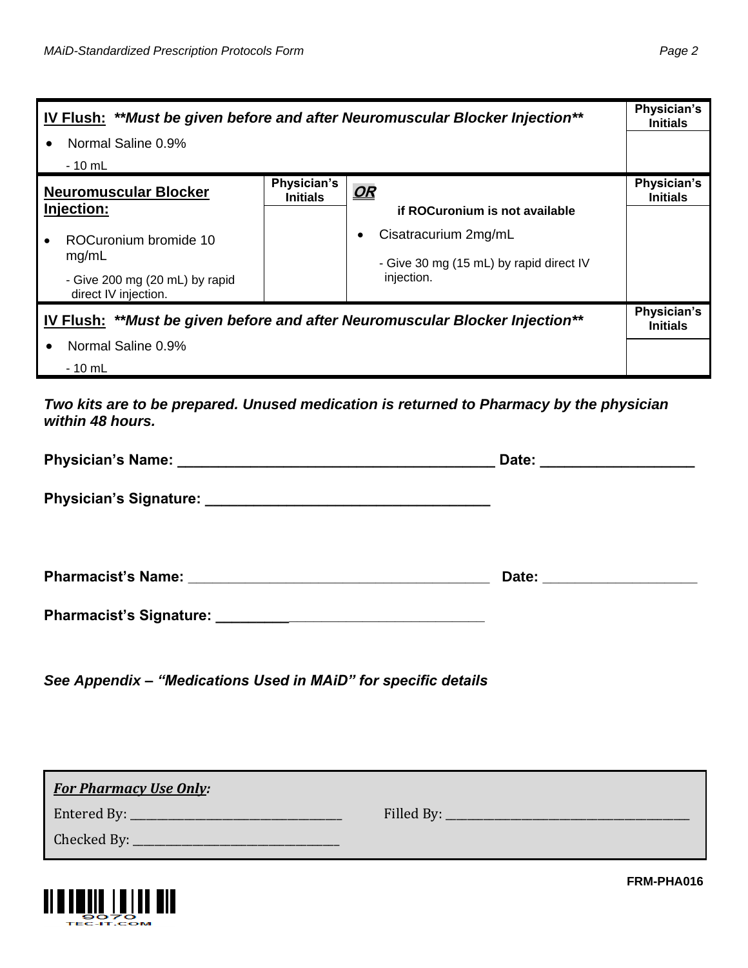| IV Flush: **Must be given before and after Neuromuscular Blocker Injection** |                                |                                                                 | Physician's<br><b>Initials</b> |
|------------------------------------------------------------------------------|--------------------------------|-----------------------------------------------------------------|--------------------------------|
| Normal Saline 0.9%<br>$\bullet$                                              |                                |                                                                 |                                |
| - 10 mL                                                                      |                                |                                                                 |                                |
| <b>Neuromuscular Blocker</b><br>Injection:                                   | Physician's<br><b>Initials</b> | <u>OR</u><br>if ROCuronium is not available                     | Physician's<br><b>Initials</b> |
| ROCuronium bromide 10<br>mg/mL                                               |                                | Cisatracurium 2mg/mL<br>- Give 30 mg (15 mL) by rapid direct IV |                                |
| - Give 200 mg (20 mL) by rapid<br>direct IV injection.                       |                                | injection.                                                      |                                |
| IV Flush: **Must be given before and after Neuromuscular Blocker Injection** |                                |                                                                 |                                |
| Normal Saline 0.9%                                                           |                                |                                                                 |                                |
| - 10 mL                                                                      |                                |                                                                 |                                |

*Two kits are to be prepared. Unused medication is returned to Pharmacy by the physician within 48 hours.*

| Date: ____________________   |
|------------------------------|
|                              |
| Date: ______________________ |
|                              |
|                              |

*See Appendix – "Medications Used in MAiD" for specific details*

| <b>For Pharmacy Use Only:</b> |  |
|-------------------------------|--|
| Entered By: $\_\_$            |  |
| Checked By: __________        |  |



**FRM-PHA016**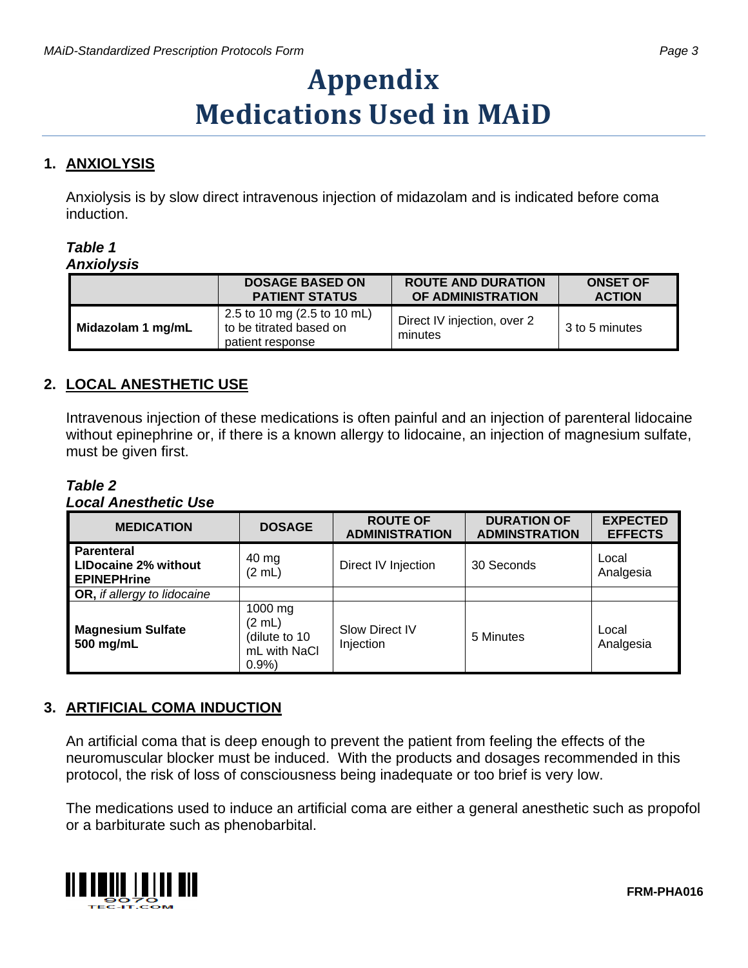# **Appendix Medications Used in MAiD**

### **1. ANXIOLYSIS**

Anxiolysis is by slow direct intravenous injection of midazolam and is indicated before coma induction.

#### *Table 1 Anxiolysis*

| ----------        |                                                                            |                                                |                                  |
|-------------------|----------------------------------------------------------------------------|------------------------------------------------|----------------------------------|
|                   | <b>DOSAGE BASED ON</b><br><b>PATIENT STATUS</b>                            | <b>ROUTE AND DURATION</b><br>OF ADMINISTRATION | <b>ONSET OF</b><br><b>ACTION</b> |
| Midazolam 1 mg/mL | 2.5 to 10 mg (2.5 to 10 mL)<br>to be titrated based on<br>patient response | Direct IV injection, over 2<br>minutes         | 3 to 5 minutes                   |

#### **2. LOCAL ANESTHETIC USE**

Intravenous injection of these medications is often painful and an injection of parenteral lidocaine without epinephrine or, if there is a known allergy to lidocaine, an injection of magnesium sulfate, must be given first.

*Table 2 Local Anesthetic Use*

| <b>MEDICATION</b>                                        | <b>DOSAGE</b>                                              | <b>ROUTE OF</b><br><b>ADMINISTRATION</b> | <b>DURATION OF</b><br><b>ADMINSTRATION</b> | <b>EXPECTED</b><br><b>EFFECTS</b> |
|----------------------------------------------------------|------------------------------------------------------------|------------------------------------------|--------------------------------------------|-----------------------------------|
| Parenteral<br>LIDocaine 2% without<br><b>EPINEPHrine</b> | 40 mg<br>(2 mL)                                            | Direct IV Injection                      | 30 Seconds                                 | Local<br>Analgesia                |
| <b>OR, if allergy to lidocaine</b>                       |                                                            |                                          |                                            |                                   |
| <b>Magnesium Sulfate</b><br>500 mg/mL                    | 1000 mg<br>(2 mL)<br>(dilute to 10<br>mL with NaCl<br>0.9% | Slow Direct IV<br>Injection              | 5 Minutes                                  | Local<br>Analgesia                |

#### **3. ARTIFICIAL COMA INDUCTION**

An artificial coma that is deep enough to prevent the patient from feeling the effects of the neuromuscular blocker must be induced. With the products and dosages recommended in this protocol, the risk of loss of consciousness being inadequate or too brief is very low.

The medications used to induce an artificial coma are either a general anesthetic such as propofol or a barbiturate such as phenobarbital.